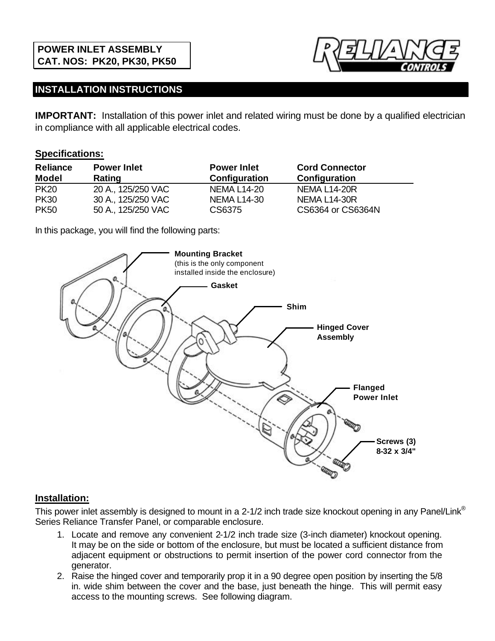

## **INSTALLATION INSTRUCTIONS**

**IMPORTANT:** Installation of this power inlet and related wiring must be done by a qualified electrician in compliance with all applicable electrical codes.

## **Specifications:**

| <b>Reliance</b> | <b>Power Inlet</b> | <b>Power Inlet</b> | <b>Cord Connector</b> |
|-----------------|--------------------|--------------------|-----------------------|
| <b>Model</b>    | Rating             | Configuration      | Configuration         |
| <b>PK20</b>     | 20 A., 125/250 VAC | NEMA L14-20        | <b>NEMA L14-20R</b>   |
| <b>PK30</b>     | 30 A., 125/250 VAC | <b>NEMA L14-30</b> | <b>NEMA L14-30R</b>   |
| <b>PK50</b>     | 50 A., 125/250 VAC | CS6375             | CS6364 or CS6364N     |

In this package, you will find the following parts:



## **Installation:**

This power inlet assembly is designed to mount in a 2-1/2 inch trade size knockout opening in any Panel/Link<sup>®</sup> Series Reliance Transfer Panel, or comparable enclosure.

- 1. Locate and remove any convenient 2-1/2 inch trade size (3-inch diameter) knockout opening. It may be on the side or bottom of the enclosure, but must be located a sufficient distance from adjacent equipment or obstructions to permit insertion of the power cord connector from the generator.
- 2. Raise the hinged cover and temporarily prop it in a 90 degree open position by inserting the 5/8 in. wide shim between the cover and the base, just beneath the hinge. This will permit easy access to the mounting screws. See following diagram.